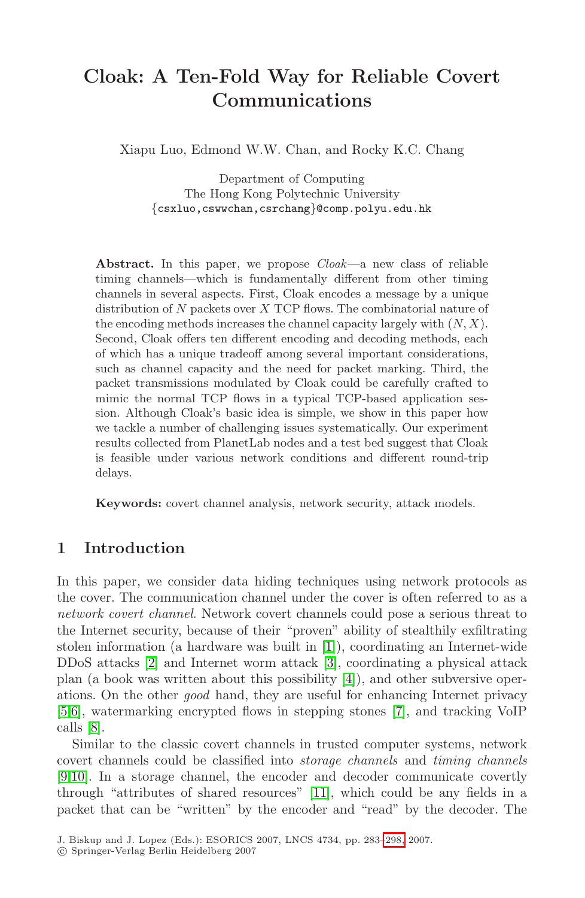# **Cloak: A Ten-Fold Way for Reliable Covert Communications**

Xiapu Luo, Edmond W.W. Chan, and Rocky K.C. Chang

Department of Computing The Hong Kong Polytechnic University {csxluo,cswwchan,csrchang}@comp.polyu.edu.hk

Abstract. In this paper, we propose *Cloak*—a new class of reliable timing channels—which is fundamentally different from other timing channels in several aspects. First, Cloak encodes a message by a unique distribution of  $N$  packets over  $X$  TCP flows. The combinatorial nature of the encoding methods increases the channel capacity largely with  $(N, X)$ . Second, Cloak offers ten different encoding and decoding methods, each of which has a unique tradeoff among several important considerations, such as channel capacity and the need for packet marking. Third, the packet transmissions modulated by Cloak could be carefully crafted to mimic the normal TCP flows in a typical TCP-based application session. Although Cloak's basic idea is simple, we show in this paper how we tackle a number of challenging issues systematically. Our experiment results collected from PlanetLab nodes and a test bed suggest that Cloak is feasible under various network conditions and different round-trip delays.

**Keywords:** covert channel analysis, network security, attack models.

# **1 Introduction**

In this paper, we consider data hidi[ng](#page-14-0) techniques using network protocols as the cover. The communication channel under the cover is often referred to as a network covert channel. Network covert channels could pose a serious threat to the Internet security, because of their "proven" ability of stealthily exfiltrating stolen information (a hardware was built in [1]), coordinating an Internet-wide DDoS attacks [2] and I[nter](#page-15-0)net worm attack [3], coordinating a physical attack plan (a book was written about this possibility [4]), and other subversive operations. On the other good hand, they are useful for enhancing Internet privacy [5,6], watermarking encrypted flow[s in](#page-15-1) stepping stones [7], and tracking VoIP calls [8].

Similar to the classic covert channels in trusted computer systems, network covert channels could be classified into storage channels and timing channels [9,10]. In a storage channel, the encoder and decoder communicate covertly through "attributes of shared resources" [11], which could be any fields in a packet that can be "written" by the encoder and "read" by the decoder. The

J. Biskup and J. Lopez (Eds.): ESORICS 2007, LNCS 4734, pp. 283–298, 2007.

<sup>-</sup>c Springer-Verlag Berlin Heidelberg 2007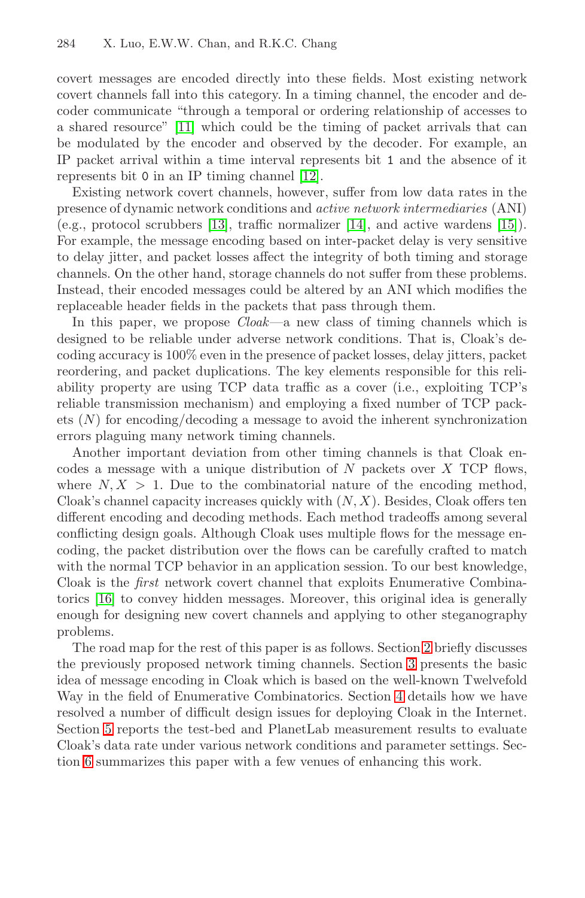covert messages are encoded directly into these fields. Most existing network covert [cha](#page-15-3)nnels fall into this c[ate](#page-15-4)gory. In a timing chan[nel,](#page-15-5) the encoder and decoder communicate "through a temporal or ordering relationship of accesses to a shared resource" [11] which could be the timing of packet arrivals that can be modulated by the encoder and observed by the decoder. For example, an IP packet arrival within a time interval represents bit 1 and the absence of it represents bit 0 in an IP timing channel [12].

Existing network covert channels, however, suffer from low data rates in the presence of dynamic network conditions and active network intermediaries (ANI) (e.g., protocol scrubbers [13], traffic normalizer [14], and active wardens [15]). For example, the message encoding based on inter-packet delay is very sensitive to delay jitter, and packet losses affect the integrity of both timing and storage channels. On the other hand, storage channels do not suffer from these problems. Instead, their encoded messages could be altered by an ANI which modifies the replaceable header fields in the packets that pass through them.

In this paper, we propose *Cloak*—a new class of timing channels which is designed to be reliable under adverse network conditions. That is, Cloak's decoding accuracy is 100% even in the presence of packet losses, delay jitters, packet reordering, and packet duplications. The key elements responsible for this reliability property are using TCP data traffic as a cover (i.e., exploiting TCP's reliable transmission mechanism) and employing a fixed number of TCP packets  $(N)$  for encoding/decoding a message to avoid the inherent synchronization errors plaguing many network timing channels.

Another important deviation from other timing channels is that Cloak encodes a message with a unique distribution of  $N$  packets over  $X$  TCP flows, where  $N, X > 1$ . Due to the combinatorial nature of the encoding method, Cloak's channel capacity increases quickly with  $(N, X)$ . Besides, Cloak offers ten different encoding and decoding methods. [Ea](#page-2-0)ch method tradeoffs among several conflicting design goals. Although Cloa[k u](#page-2-1)ses multiple flows for the message encoding, the packet distribution over the flows can be carefully crafted to match with the normal TCP behavior in an a[pp](#page-5-0)lication session. To our best knowledge, Cloak is the first network covert channel that exploits Enumerative Combinatorics [16] to convey hidden messages. Moreover, this original idea is generally enough for designing new covert channels and applying to other steganography problems.

The road map for the rest of this paper is as follows. Section 2 briefly discusses the previously proposed network timing channels. Section 3 presents the basic idea of message encoding in Cloak which is based on the well-known Twelvefold Way in the field of Enumerative Combinatorics. Section 4 details how we have resolved a number of difficult design issues for deploying Cloak in the Internet. Section 5 reports the test-bed and PlanetLab measurement results to evaluate Cloak's data rate under various network conditions and parameter settings. Section 6 summarizes this paper with a few venues of enhancing this work.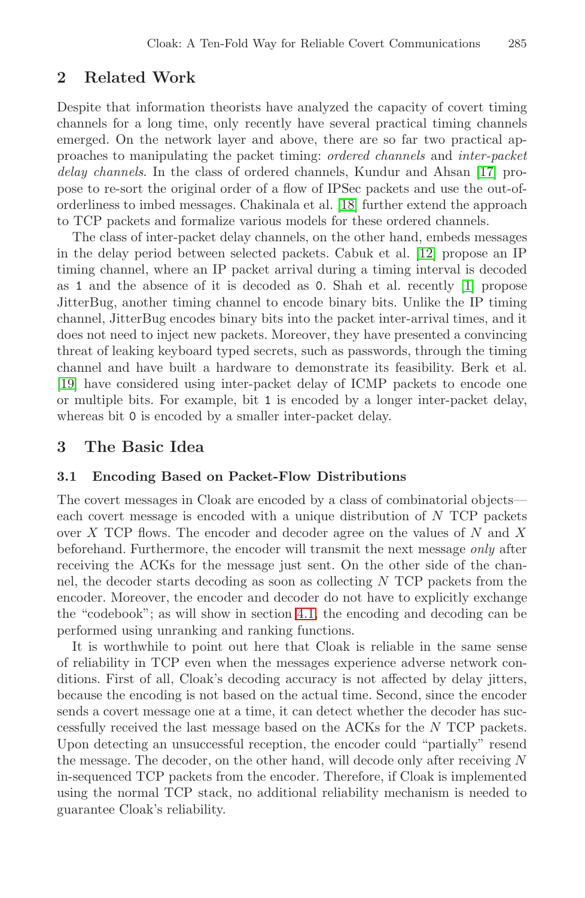# <span id="page-2-0"></span>**2 Related Work**

Despite that information theorists have analyzed the capacity of covert timing channels for a long time, only recently h[ave](#page-15-2) several practical timing channels emerged. On the network layer and above, there are so far two practical approaches to manipulating the packet timing: ord[ere](#page-14-1)d channels and inter-packet delay channels. In the class of ordered channels, Kundur and Ahsan [17] propose to re-sort the original order of a flow of IPSec packets and use the out-oforderliness to imbed messages. Chakinala et al. [18] further extend the approach to TCP packets and formalize various models for these ordered channels.

<span id="page-2-1"></span>The class of inter-packet delay channels, on the other hand, embeds messages in the delay period between selected packets. Cabuk et al. [12] propose an IP timing channel, where an IP packet arrival during a timing interval is decoded as 1 and the absence of it is decoded as 0. Shah et al. recently [1] propose JitterBug, another timing channel to encode binary bits. Unlike the IP timing channel, JitterBug encodes binary bits into the packet inter-arrival times, and it does not need to inject new packets. Moreover, they have presented a convincing threat of leaking keyboard typed secrets, such as passwords, through the timing channel and have built a hardware to demonstrate its feasibility. Berk et al. [19] have considered using inter-packet delay of ICMP packets to encode one or multiple bits. For example, bit 1 is encoded by a longer inter-packet delay, whereas bit  $0$  is encoded by a smaller inter-packet delay.

# **3 The Basic Idea**

#### **3.1 Encoding Ba[sed](#page-5-1) on Packet-Flow Distributions**

The covert messages in Cloak are encoded by a class of combinatorial objects each covert message is encoded with a unique distribution of N TCP packets over  $X$  TCP flows. The encoder and decoder agree on the values of  $N$  and  $X$ beforehand. Furthermore, the encoder will transmit the next message only after receiving the ACKs for the message just sent. On the other side of the channel, the decoder starts decoding as soon as collecting N TCP packets from the encoder. Moreover, the encoder and decoder do not have to explicitly exchange the "codebook"; as will show in section 4.1, the encoding and decoding can be performed using unranking and ranking functions.

It is worthwhile to point out here that Cloak is reliable in the same sense of reliability in TCP even when the messages experience adverse network conditions. First of all, Cloak's decoding accuracy is not affected by delay jitters, because the encoding is not based on the actual time. Second, since the encoder sends a covert message one at a time, it can detect whether the decoder has successfully received the last message based on the ACKs for the N TCP packets. Upon detecting an unsuccessful reception, the encoder could "partially" resend the message. The decoder, on the other hand, will decode only after receiving  $N$ in-sequenced TCP packets from the encoder. Therefore, if Cloak is implemented using the normal TCP stack, no additional reliability mechanism is needed to guarantee Cloak's reliability.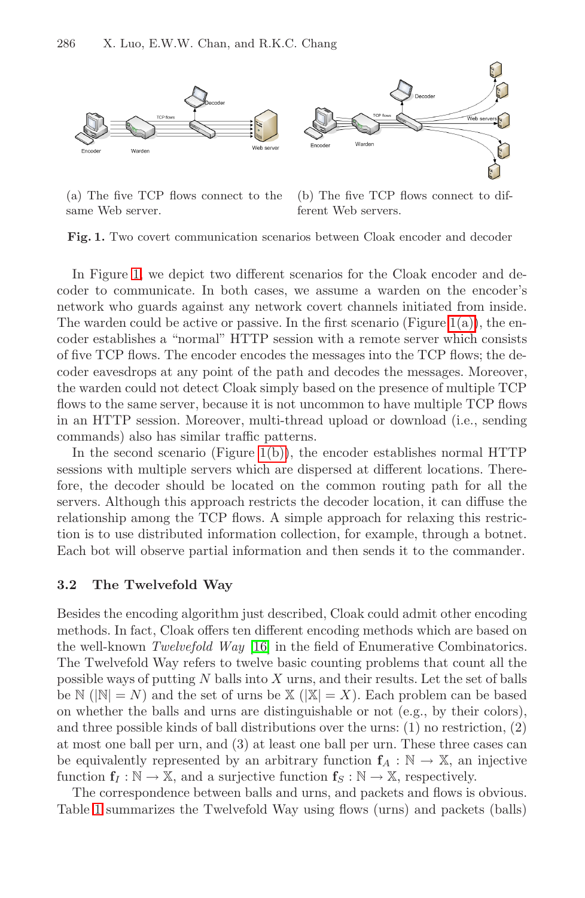<span id="page-3-1"></span><span id="page-3-0"></span>

(a) The five TCP flows connect to the same Web server.

(b) Th[e five](#page-3-0) TCP flows connect to different Web servers.

**Fig. 1.** Two covert communication scenarios between Cloak encoder and decoder

In Figure 1, we depict two different scenarios for the Cloak encoder and decoder to communicate. In both cases, we assume a warden on the encoder's network who guards against any network covert channels initiated from inside. The warden co[uld be](#page-3-1) active or passive. In the first scenario (Figure 1(a)), the encoder establishes a "normal" HTTP session with a remote server which consists of five TCP flows. The encoder encodes the messages into the TCP flows; the decoder eavesdrops at any point of the path and decodes the messages. Moreover, the warden could not detect Cloak simply based on the presence of multiple TCP flows to the same server, because it is not uncommon to have multiple TCP flows in an HTTP session. Moreover, multi-thread upload or download (i.e., sending commands) also has similar traffic patterns.

In the second scenario (Figure  $1(b)$ ), the encoder establishes normal HTTP sessions with multiple servers which are dispersed at different locations. Therefore, the decoder should be located on the common routing path for all the servers. Although this approach restricts the decoder location, it can diffuse the relationship a[mo](#page-15-7)ng the TCP flows. A simple approach for relaxing this restriction is to use distributed information collection, for example, through a botnet. Each bot will observe partial information and then sends it to the commander.

#### **3.2 The Twelvefold Way**

Besides the encoding algorithm just described, Cloak could admit other encoding methods. In fact, Cloak offers ten different encoding methods which are based on the well-known Twelvefold Way [16] in the field of Enumerative Combinatorics. The Twelvefold Way refers to twelve basic counting problems that count all the possible ways of putting N balls into X urns, and their results. Let the set of balls be N ( $|\mathbb{N}| = N$ ) and the set of urns be X ( $|\mathbb{X}| = X$ ). Each problem can be based on whether the balls and urns are distinguishable or not (e.g., by their colors), and three possible kinds of ball distributions over the urns: (1) no restriction, (2) at most one ball per urn, and (3) at least one ball per urn. These three cases can be equivalently represented by an arbitrary function  $f_A : \mathbb{N} \to \mathbb{X}$ , an injective function  $f_I : \mathbb{N} \to \mathbb{X}$ , and a surjective function  $f_S : \mathbb{N} \to \mathbb{X}$ , respectively.

The correspondence between balls and urns, and packets and flows is obvious. Table 1 summarizes the Twelvefold Way using flows (urns) and packets (balls)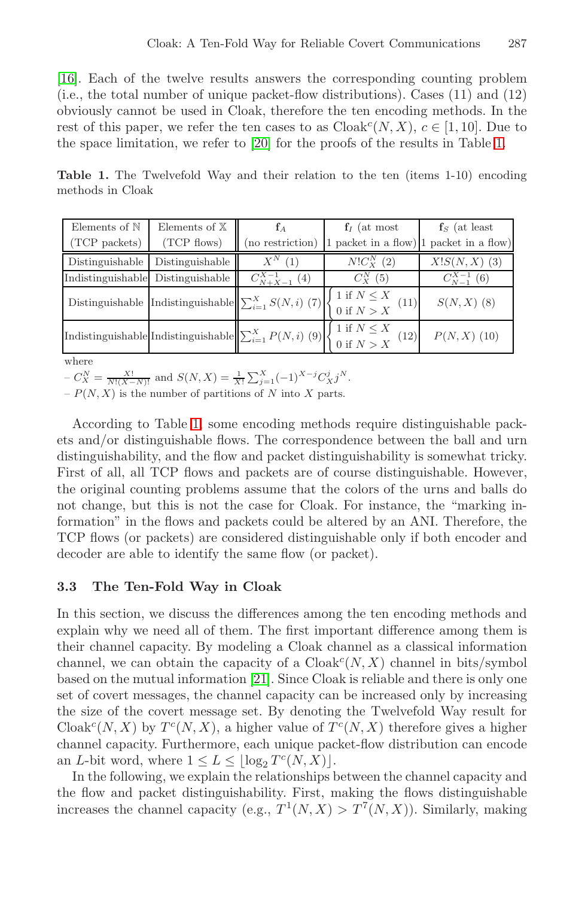<span id="page-4-0"></span>[16]. Each of the twelve results answers the corresponding counting problem (i.e., the total number of unique packet-flow distributions). Cases (11) and (12) obviously cannot be used in Cloak, therefore the ten encoding methods. In the rest of this paper, we refer the ten cases to as  $\text{Clock}^c(N,X), c \in [1,10]$ . Due to the space limitation, we refer to [20] for the proofs of the results in Table 1.

**Table 1.** The Twelvefold Way and their relation to the ten (items 1-10) encoding methods in Cloak

| Elements of $N$                   | Elements of $X$                                                                   |                       | $f_I$ (at most                                                                     | $fS$ (at least      |
|-----------------------------------|-----------------------------------------------------------------------------------|-----------------------|------------------------------------------------------------------------------------|---------------------|
| (TCP packets)                     | (TCP flows)                                                                       | (no restriction)      | packet in a flow) $ 1 $                                                            | packet in a flow)   |
| Distinguishable                   | Distinguishable                                                                   | $X^N(1)$              | $N!C_X^N(2)$                                                                       | $X!S(N,X)$ (3)      |
| Indistinguishable Distinguishable |                                                                                   | $C_{N+X-1}^{X-1}$ (4) | $C_X^N(5)$                                                                         | $C_{N-1}^{X-1}$ (6) |
|                                   | Distinguishable Indistinguishable $\sum_{i=1}^{X} S(N, i)$ (7)                    |                       | $\begin{aligned} 1\text{ if } N \leq X\\ 0\text{ if } N > X \end{aligned}$<br>(11) | $S(N, X)$ (8)       |
|                                   | Indistinguishable Indistinguishable $\left\  \sum_{i=1}^{X} P(N, i) (9) \right\ $ |                       | $\begin{cases} 1 \text{ if } N \leq X \\ 0 \text{ if } N > X \end{cases}$<br>(12)  | $P(N, X)$ (10)      |
| where                             |                                                                                   |                       |                                                                                    |                     |

where

 $-C_X^N = \frac{X!}{N!(X-N)!}$  and  $S(N, X) = \frac{1}{X!} \sum_{j=1}^X (-1)^{X-j} C_X^j j^N$ .

 $-P(N, X)$  is the number of partitions of N into X parts.

According to Table 1, some encoding methods require distinguishable packets and/or distinguishable flows. The correspondence between the ball and urn distinguishability, and the flow and packet distinguishability is somewhat tricky. First of all, all TCP flows and packets are of course distinguishable. However, the original counting problems assume that the colors of the urns and balls do not change, but this is not the case for Cloak. For instance, the "marking information" in the flows and packets could be altered by an ANI. Therefore, the TCP flows (or packets) are considered distinguishable only if both encoder and decoder are a[ble](#page-15-8) to identify the same flow (or packet).

#### **3.3 The Ten-Fold Way in Cloak**

In this section, we discuss the differences among the ten encoding methods and explain why we need all of them. The first important difference among them is their channel capacity. By modeling a Cloak channel as a classical information channel, we can obtain the capacity of a  $\text{Clock}^c(N,X)$  channel in bits/symbol based on the mutual information [21]. Since Cloak is reliable and there is only one set of covert messages, the channel capacity can be increased only by increasing the size of the covert message set. By denoting the Twelvefold Way result for Cloak<sup>c</sup>(N, X) by  $T^{c}(N,X)$ , a higher value of  $T^{c}(N,X)$  therefore gives a higher channel capacity. Furthermore, each unique packet-flow distribution can encode an L-bit word, where  $1 \le L \le |\log_2 T^c(N,X)|$ .

In the following, we explain the relationships between the channel capacity and the flow and packet distinguishability. First, making the flows distinguishable increases the channel capacity (e.g.,  $T^1(N,X) > T^7(N,X)$ ). Similarly, making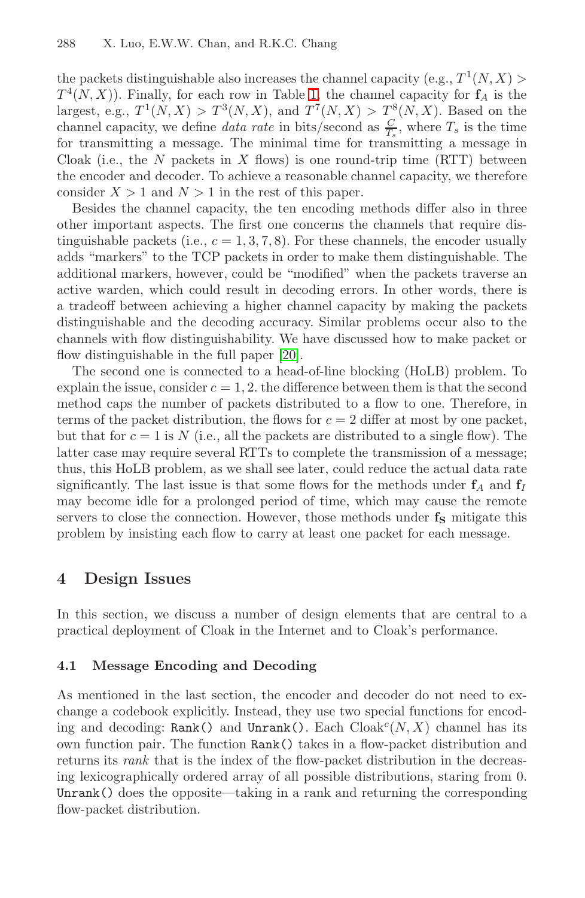the packets distinguishable also increases the channel capacity (e.g.,  $T^1(N,X)$ )  $T^4(N,X)$ ). Finally, for each row in Table 1, the channel capacity for  $f_A$  is the largest, e.g.,  $T^1(N,X) > T^3(N,X)$ , and  $T^7(N,X) > T^8(N,X)$ . Based on the channel capacity, we define *data rate* in bits/second as  $\frac{C}{T_s}$ , where  $T_s$  is the time for transmitting a message. The minimal time for transmitting a message in Cloak (i.e., the  $N$  packets in  $X$  flows) is one round-trip time (RTT) between the encoder and decoder. To achieve a reasonable channel capacity, we therefore consider  $X > 1$  and  $N > 1$  in the rest of this paper.

Besides the channel capacity, the ten encoding methods differ also in three other important a[spec](#page-15-9)ts. The first one concerns the channels that require distinguishable packets (i.e.,  $c = 1, 3, 7, 8$ ). For these channels, the encoder usually adds "markers" to the TCP packets in order to make them distinguishable. The additional markers, however, could be "modified" when the packets traverse an active warden, which could result in decoding errors. In other words, there is a tradeoff between achieving a higher channel capacity by making the packets distinguishable and the decoding accuracy. Similar problems occur also to the channels with flow distinguishability. We have discussed how to make packet or flow distinguishable in the full paper [20].

<span id="page-5-0"></span>The second one is connected to a head-of-line blocking (HoLB) problem. To explain the issue, consider  $c = 1, 2$ . the difference between them is that the second method caps the number of packets distributed to a flow to one. Therefore, in terms of the packet distribution, the flows for  $c = 2$  differ at most by one packet, but that for  $c = 1$  is N (i.e., all the packets are distributed to a single flow). The latter case may require several RTTs to complete the transmission of a message; thus, this HoLB problem, as we shall see later, could reduce the actual data rate significantly. The last issue is that some flows for the methods under  $f_A$  and  $f_I$ may become idle for a prolonged period of time, which may cause the remote servers to close the connection. However, those methods under **f<sup>S</sup>** mitigate this problem by insisting each flow to carry at least one packet for each message.

# <span id="page-5-1"></span>**4 Design Issues**

In this section, we discuss a number of design elements that are central to a practical deployment of Cloak in the Internet and to Cloak's performance.

### **4.1 Message Encoding and Decoding**

As mentioned in the last section, the encoder and decoder do not need to exchange a codebook explicitly. Instead, they use two special functions for encoding and decoding: Rank() and Unrank(). Each  $\text{Clock}^c(N,X)$  channel has its own function pair. The function Rank() takes in a flow-packet distribution and returns its rank that is the index of the flow-packet distribution in the decreasing lexicographically ordered array of all possible distributions, staring from 0. Unrank() does the opposite—taking in a rank and returning the corresponding flow-packet distribution.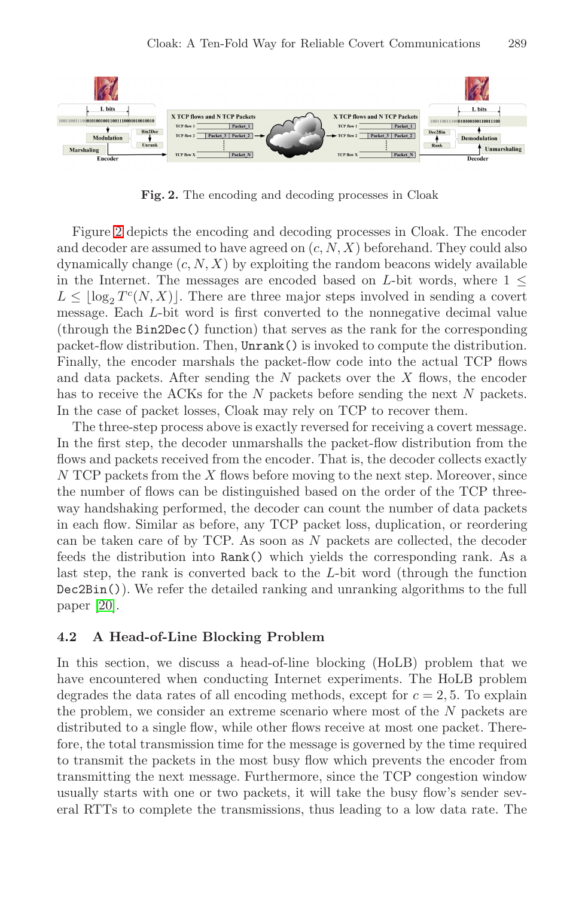

**Fig. 2.** The encoding and decoding processes in Cloak

Figure 2 depicts the encoding and decoding processes in Cloak. The encoder and decoder are assumed to have agreed on  $(c, N, X)$  beforehand. They could also dynamically change  $(c, N, X)$  by exploiting the random beacons widely available in the Internet. The messages are encoded based on L-bit words, where  $1 \leq$  $L \n\t\leq |\log_2 T^c(N,X)|$ . There are three major steps involved in sending a covert message. Each L-bit word is first converted to the nonnegative decimal value (through the Bin2Dec() function) that serves as the rank for the corresponding packet-flow distribution. Then, Unrank() is invoked to compute the distribution. Finally, the encoder marshals the packet-flow code into the actual TCP flows and data packets. After sending the  $N$  packets over the  $X$  flows, the encoder has to receive the ACKs for the N packets before sending the next N packets. In the case of packet losses, Cloak may rely on TCP to recover them.

<span id="page-6-0"></span>The three-step process above is exactly reversed for receiving a covert message. In the first step, the decoder unmarshalls the packet-flow distribution from the flows and packets received from the encoder. That is, the decoder collects exactly  $N$  TCP packets from the  $X$  flows before moving to the next step. Moreover, since the number of flows can be distinguished based on the order of the TCP threeway handshaking performed, the decoder can count the number of data packets in each flow. Similar as before, any TCP packet loss, duplication, or reordering can be taken care of by TCP. As soon as  $N$  packets are collected, the decoder feeds the distribution into Rank() which yields the corresponding rank. As a last step, the rank is converted back to the L-bit word (through the function Dec2Bin()). We refer the detailed ranking and unranking algorithms to the full paper [20].

#### **4.2 A Head-of-Line Blocking Problem**

In this section, we discuss a head-of-line blocking (HoLB) problem that we have encountered when conducting Internet experiments. The HoLB problem degrades the data rates of all encoding methods, except for  $c = 2, 5$ . To explain the problem, we consider an extreme scenario where most of the N packets are distributed to a single flow, while other flows receive at most one packet. Therefore, the total transmission time for the message is governed by the time required to transmit the packets in the most busy flow which prevents the encoder from transmitting the next message. Furthermore, since the TCP congestion window usually starts with one or two packets, it will take the busy flow's sender several RTTs to complete the transmissions, thus leading to a low data rate. The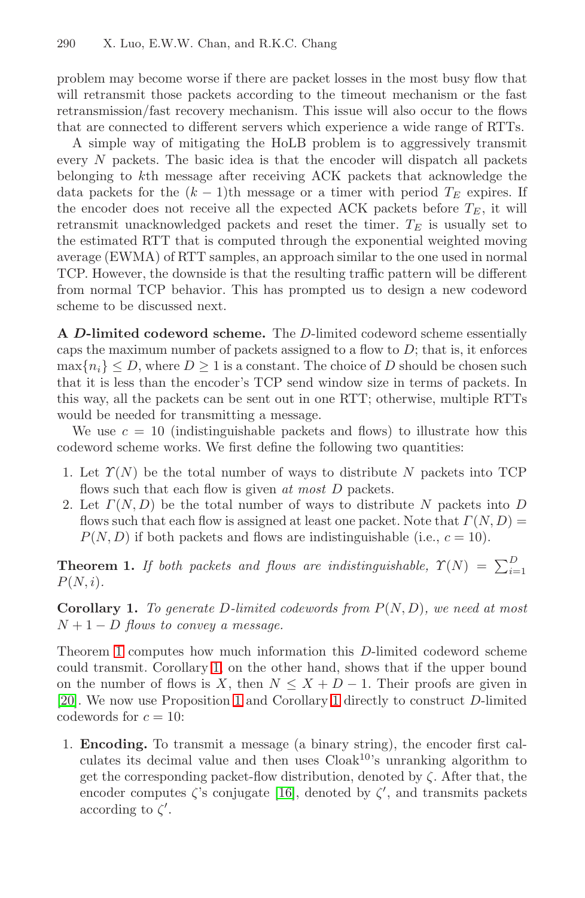problem may become worse if there are packet losses in the most busy flow that will retransmit those packets according to the timeout mechanism or the fast retransmission/fast recovery mechanism. This issue will also occur to the flows that are connected to different servers which experience a wide range of RTTs.

A simple way of mitigating the HoLB problem is to aggressively transmit every N packets. The basic idea is that the encoder will dispatch all packets belonging to kth message after receiving ACK packets that acknowledge the data packets for the  $(k - 1)$ th message or a timer with period  $T_E$  expires. If the encoder does not receive all the expected ACK packets before  $T_E$ , it will retransmit unacknowledged packets and reset the timer.  $T_E$  is usually set to the estimated RTT that is computed through the exponential weighted moving average (EWMA) of RTT samples, an approach similar to the one used in normal TCP. However, the downside is that the resulting traffic pattern will be different from normal TCP behavior. This has prompted us to design a new codeword scheme to be discussed next.

**A** *D***-limited codeword scheme.** The D-limited codeword scheme essentially caps the maximum number of packets assigned to a flow to  $D$ ; that is, it enforces  $\max\{n_i\} \leq D$ , where  $D \geq 1$  is a constant. The choice of D should be chosen such that it is less than the encoder's TCP send window size in terms of packets. In this way, all the packets can be sent out in one RTT; otherwise, multiple RTTs would be needed for transmitting a message.

<span id="page-7-1"></span><span id="page-7-0"></span>We use  $c = 10$  (indistinguishable packets and flows) to illustrate how this codeword scheme works. We first define the following two quantities:

- 1. Let  $\Upsilon(N)$  be the total number of ways to distribute N packets into TCP flows such that each flow is given at most D packets.
- 2. Let  $\Gamma(N, D)$  be the total number of ways to distribute N packets into D flows such that each flow is assigned at least one packet. Note that  $\Gamma(N,D)$  =  $P(N, D)$  $P(N, D)$  $P(N, D)$  if both packets and flows are indistinguishable (i.e.,  $c = 10$ ).

**Theorem [1.](#page-7-1)** If both pack[ets](#page-7-0) and flows are indistinguishable,  $\Upsilon(N) = \sum_{i=1}^{D}$  $i=1$  $P(N,i)$ .

**Corollary 1.** To generate D-limited codewords from  $P(N, D)$ , we need at most  $N+1-D$  flows to convey a message.

Theorem 1 computes how much information this D-limited codeword scheme could transmit. C[oro](#page-15-7)llary 1, on the other hand, shows that if the upper bound on the number of flows is X, then  $N \leq X + D - 1$ . Their proofs are given in [20]. We now use Proposition 1 and Corollary 1 directly to construct D-limited codewords for  $c = 10$ :

1. **Encoding.** To transmit a message (a binary string), the encoder first calculates its decimal value and then uses  $\text{Clock}^{10}$ 's unranking algorithm to get the corresponding packet-flow distribution, denoted by  $\zeta$ . After that, the encoder computes  $\zeta$ 's conjugate [16], denoted by  $\zeta'$ , and transmits packets according to  $\zeta'$ .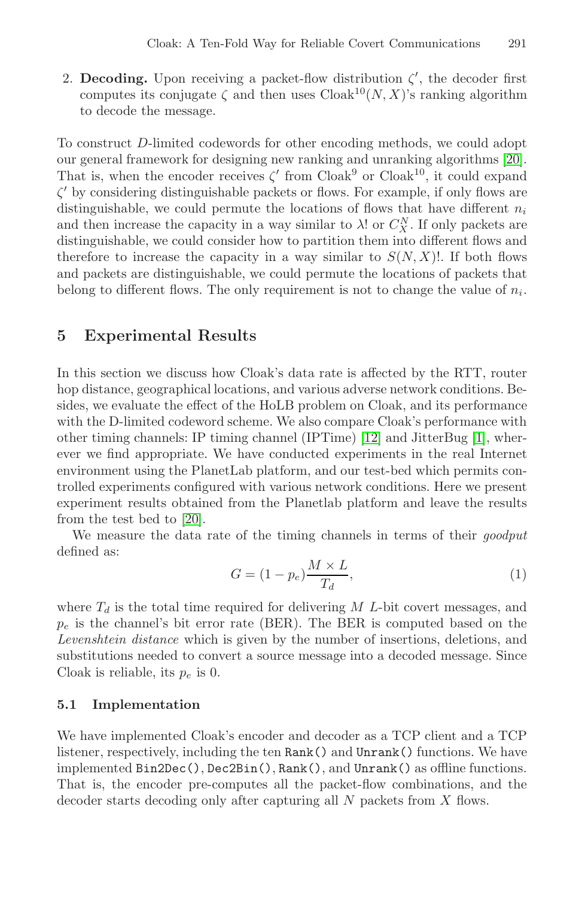2. **Decoding.** Upon receiving a packet-flow distribution  $\zeta'$ , the decoder first computes its conjugate  $\zeta$  and then uses  $\text{Cloud}^{10}(N,X)$ 's ranking algorithm to decode the message.

To construct D-limited codewords for other encoding methods, we could adopt our general framework for designing new ranking and unranking algorithms [20]. That is, when the encoder receives  $\zeta'$  from Cloak<sup>9</sup> or Cloak<sup>10</sup>, it could expand  $\zeta'$  by considering distinguishable packets or flows. For example, if only flows are distinguishable, we could permute the locations of flows that have different  $n_i$ and then increase the capacity in a way similar to  $\lambda$ ! or  $C_X^N$ . If only packets are distinguishable, we could consider how to partition them into different flows and therefore to increase the capacity in a way similar to  $S(N, X)$ !. If both flows and packets are distinguishable, we could permute the locations of packets that belong to different flows. The only requirement is not to change the value of  $n_i$ .

# **5 Experimental Results**

In this section we discuss how Cloak's data rate is affected by the RTT, router ho[p d](#page-15-9)istance, geographical locations, and various adverse network conditions. Besides, we evaluate the effect of the HoLB problem on Cloak, and its performance with the D-limited codeword scheme. We also compare Cloak's performance with other timing channels: IP timing channel (IPTime) [12] and JitterBug [1], wherever we find appropriate. We have conducted experiments in the real Internet environment using the PlanetLab platform, and our test-bed which permits controlled experiments configured with various network conditions. Here we present experiment results obtained from the Planetlab platform and leave the results from the test bed to [20].

We measure the data rate of the timing channels in terms of their goodput defined as:

$$
G = (1 - p_e) \frac{M \times L}{T_d},\tag{1}
$$

where  $T_d$  is the total time required for delivering M L-bit covert messages, and  $p_e$  is the channel's bit error rate (BER). The BER is computed based on the Levenshtein distance which is given by the number of insertions, deletions, and substitutions needed to convert a source message into a decoded message. Since Cloak is reliable, its  $p_e$  is 0.

#### **5.1 Implementation**

We have implemented Cloak's encoder and decoder as a TCP client and a TCP listener, respectively, including the ten Rank() and Unrank() functions. We have implemented Bin2Dec(), Dec2Bin(), Rank(), and Unrank() as offline functions. That is, the encoder pre-computes all the packet-flow combinations, and the decoder starts decoding only after capturing all N packets from X flows.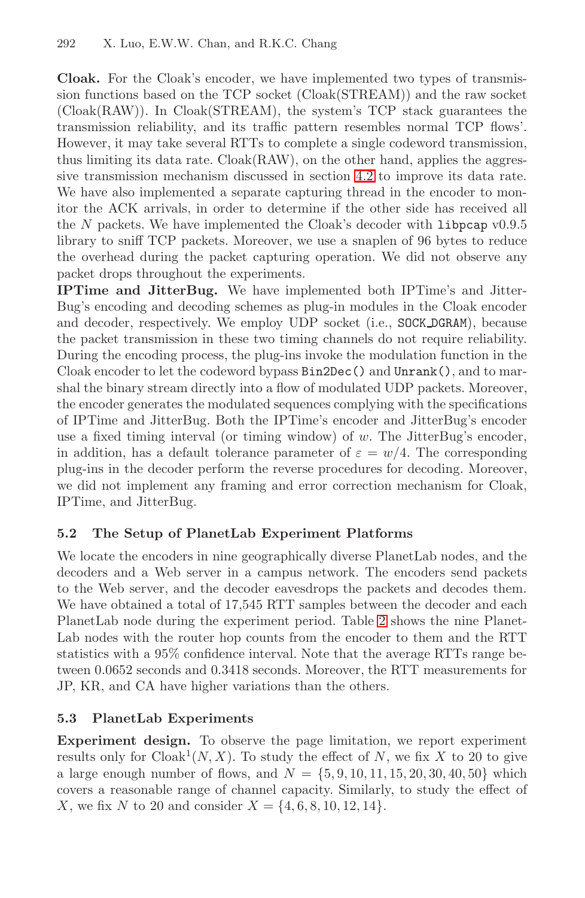**Cloak.** For the Cloak's encoder, we have implemented two types of transmission functions based on the TCP socket (Cloak(STREAM)) and the raw socket (Cloak(RAW)). In Cloak(STREAM), the system's TCP stack guarantees the transmission reliability, and its traffic pattern resembles normal TCP flows'. However, it may take several RTTs to complete a single codeword transmission, thus limiting its data rate. Cloak(RAW), on the other hand, applies the aggressive transmission mechanism discussed in section 4.2 to improve its data rate. We have also implemented a separate capturing thread in the encoder to monitor the ACK arrivals, in order to determine if the other side has received all the N packets. We have implemented the Cloak's decoder with libpcap v0.9.5 library to sniff TCP packets. Moreover, we use a snaplen of 96 bytes to reduce the overhead during the packet capturing operation. We did not observe any packet drops throughout the experiments.

**IPTime and JitterBug.** We have implemented both IPTime's and Jitter-Bug's encoding and decoding schemes as plug-in modules in the Cloak encoder and decoder, respectively. We employ UDP socket (i.e., SOCK DGRAM), because the packet transmission in these two timing channels do not require reliability. During the encoding process, the plug-ins invoke the modulation function in the Cloak encoder to let the codeword bypass Bin2Dec() and Unrank(), and to marshal the binary stream directly into a flow of modulated UDP packets. Moreover, the encoder generates the modulated sequences complying with the specifications of IPTime and JitterBug. Both the IPTime's encoder and JitterBug's encoder use a fixed timing interval (or timing window) of  $w$ . The JitterBug's encoder, in addition, has a default tolerance parameter of  $\varepsilon = w/4$ . The corresponding plug-ins in the decoder perform the reverse procedures for decoding. Moreover, we did not implement any framin[g a](#page-10-0)nd error correction mechanism for Cloak, IPTime, and JitterBug.

#### **5.2 The Setup of PlanetLab Experiment Platforms**

We locate the encoders in nine geographically diverse PlanetLab nodes, and the decoders and a Web server in a campus network. The encoders send packets to the Web server, and the decoder eavesdrops the packets and decodes them. We have obtained a total of 17,545 RTT samples between the decoder and each PlanetLab node during the experiment period. Table 2 shows the nine Planet-Lab nodes with the router hop counts from the encoder to them and the RTT statistics with a 95% confidence interval. Note that the average RTTs range between 0.0652 seconds and 0.3418 seconds. Moreover, the RTT measurements for JP, KR, and CA have higher variations than the others.

#### **5.3 PlanetLab Experiments**

**Experiment design.** To observe the page limitation, we report experiment results only for  $\text{Cloud}^1(N,X)$ . To study the effect of N, we fix X to 20 to give a large enough number of flows, and  $N = \{5, 9, 10, 11, 15, 20, 30, 40, 50\}$  which covers a reasonable range of channel capacity. Similarly, to study the effect of X, we fix N to 20 and consider  $X = \{4, 6, 8, 10, 12, 14\}.$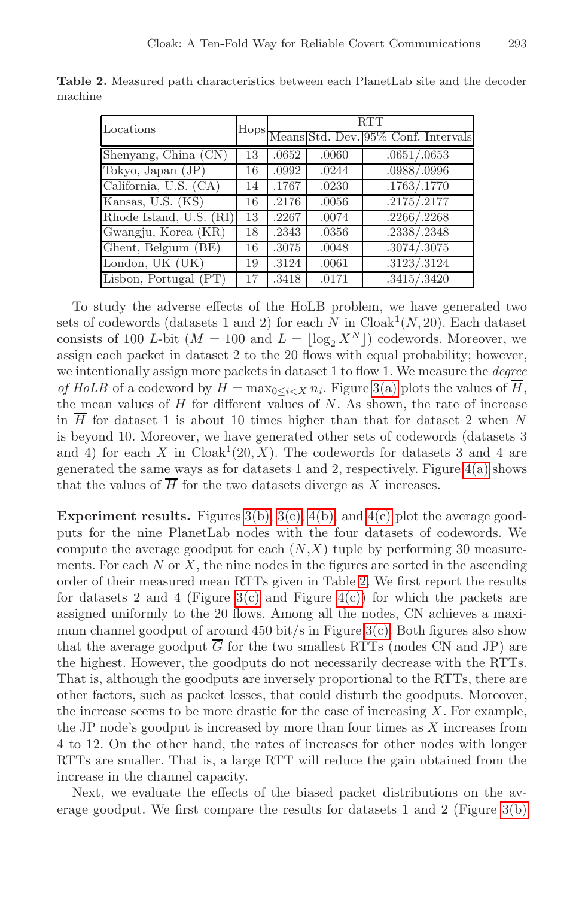<span id="page-10-0"></span>**Table 2.** Measured path characteristics between each PlanetLab site and the decoder machine

| Locations               |    | <b>RTT</b> |       |                                                          |
|-------------------------|----|------------|-------|----------------------------------------------------------|
|                         |    |            |       | $\vert$ Hops $\vert$ Means Std. Dev. 95% Conf. Intervals |
| Shenyang, China (CN)    | 13 | .0652      | .0060 | .0651/.0653                                              |
| Tokyo, Japan (JP)       | 16 | .0992      | .0244 | .0988/.0996                                              |
| California, U.S. (CA)   | 14 | .1767      | .0230 | .1763/.1770                                              |
| Kansas, U.S. (KS)       | 16 | .2176      | .0056 | .2175/.2177                                              |
| Rhode Island, U.S. (RI) | 13 | .2267      | .0074 | .2266/.2268                                              |
| Gwangju, Korea (KR)     | 18 | .2343      | .0356 | .2338/.2348                                              |
| Ghent, Belgium (BE)     | 16 | .3075      | .0048 | .3074/.3075                                              |
| London, UK (UK)         | 19 | .3124      | .0061 | .3123/.3124                                              |
| Lisbon, Portugal (PT)   | 17 | .3418      | .0171 | .3415/.3420                                              |

To study the adverse effects of the HoLB problem, we have generated two sets of codewords (datasets 1 and 2) for each N in Cloak<sup>1</sup>(N, 20). Each dataset consists of 100 L-bit ( $M = 100$  and  $L = \lfloor \log_2 X^N \rfloor$ ) codewords. Moreover, we assign each packet in dataset 2 to the 20 flows wi[th](#page-11-1) [eq](#page-11-1)ual probability; however, we intentionally assign more packets in dataset 1 to flow 1. We measure the *degree* of HoLB of [a cod](#page-11-2)[eword](#page-11-3) [by](#page-11-4)  $H = \max_{0 \leq i \leq X} n_i$  $H = \max_{0 \leq i \leq X} n_i$  $H = \max_{0 \leq i \leq X} n_i$ . Figure 3(a) plots the values of  $\overline{H}$ , the mean values of  $H$  for different values of  $N$ . As shown, the rate of increase in  $\overline{H}$  for dataset 1 is about 10 times higher than that for dataset 2 when N is beyond 10. Moreover, we have generated other sets of codewords (datasets 3 and 4) for each X in  $\text{Cloud}^1(20, X)$  $\text{Cloud}^1(20, X)$  $\text{Cloud}^1(20, X)$ . The codewords for datasets 3 and 4 are generated [the sa](#page-11-3)me ways as [for da](#page-11-5)tasets 1 and 2, respectively. Figure  $4(a)$  shows that the values of  $\overline{H}$  for the two datasets diverge as X increases.

**Experiment results.** Figures  $3(b)$  $3(b)$ ,  $3(c)$ ,  $4(b)$ , and  $4(c)$  plot the average goodputs for the nine PlanetLab nodes with the four datasets of codewords. We compute the average goodput for each  $(N,X)$  tuple by performing 30 measurements. For each  $N$  or  $X$ , the nine nodes in the figures are sorted in the ascending order of their measured mean RTTs given in Table 2. We first report the results for datasets 2 and 4 (Figure 3(c) and Figure 4(c)) for which the packets are assigned uniformly to the 20 flows. Among all the nodes, CN achieves a maximum channel goodput of around  $450$  bit/s in Figure 3(c). Both figures also show that the average goodput  $\overline{G}$  for the two smallest RTTs (nodes CN and JP) are the highest. However, the goodputs do not necessarily decrease with the RTTs. That is, although the goodputs are inversely proportion[al to t](#page-11-2)he RTTs, there are other factors, such as packet losses, that could disturb the goodputs. Moreover, the increase seems to be more drastic for the case of increasing  $X$ . For example, the JP node's goodput is increased by more than four times as  $X$  increases from 4 to 12. On the other hand, the rates of increases for other nodes with longer RTTs are smaller. That is, a large RTT will reduce the gain obtained from the increase in the channel capacity.

Next, we evaluate the effects of the biased packet distributions on the average goodput. We first compare the results for datasets 1 and 2 (Figure  $3(b)$ )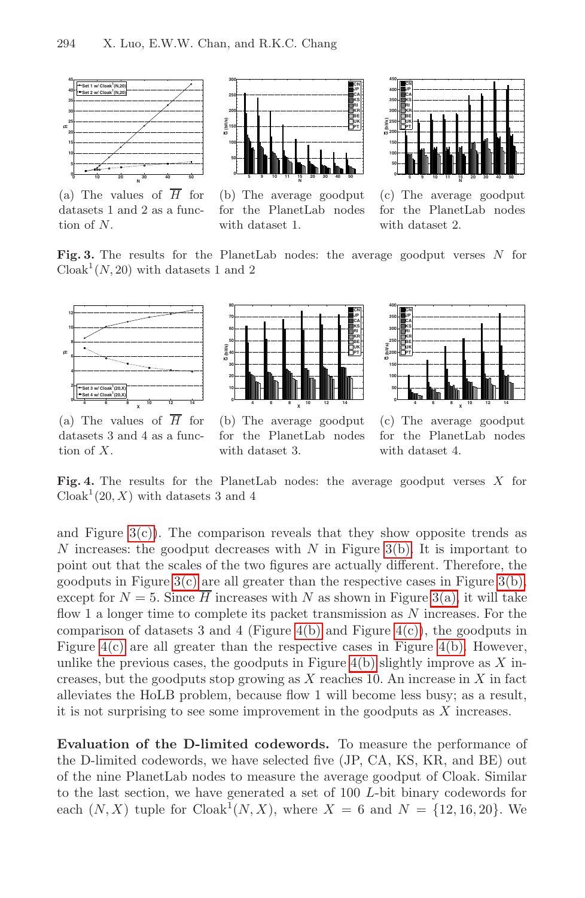<span id="page-11-2"></span><span id="page-11-0"></span>

<span id="page-11-3"></span>

**CN**

**<sup>5</sup> <sup>9</sup> <sup>10</sup> <sup>11</sup> <sup>15</sup> <sup>20</sup> <sup>30</sup> <sup>40</sup> <sup>50</sup> <sup>0</sup> 50 100 150 200 250 300 350 400 450 N G (bit/s) CN JP CA KS RI KR BE UK PT**

<span id="page-11-1"></span>(a) The values of  $\overline{H}$  for datasets 1 and 2 as a function of N.

<span id="page-11-5"></span>(b) The average goodput for the PlanetLab nodes with dataset 1.

(c) The average goodput for the PlanetLab nodes with dataset 2.

<span id="page-11-4"></span>**Fig. 3.** The results for the PlanetLab nodes: the average goodput verses N for  $\text{Cloud}^1(N, 20)$  with datasets 1 and 2



datasets 3 and 4 as a func[tion o](#page-11-3)f X.

for the PlanetLab nodes with dataset 3.

for the PlanetLab nodes [with d](#page-11-2)ataset 4.

**Fig. 4.** The results for the PlanetLab nodes[:](#page-11-0) [the](#page-11-0) average goodput verses X for  $\text{Cloud}^1(20, X)$  with da[tasets](#page-11-4) 3 and 4

and Figure  $3(c)$ ). The compa[rison](#page-11-4) reveals t[hat](#page-11-4) [t](#page-11-4)hey show opposite trends as N increases: the goodput decreases with N in Figure 3(b). It is important to point out that the scales of the two figures are actually different. Therefore, the goodputs in Figure  $3(c)$  are all greater than the respective cases in Figure  $3(b)$ , except for  $N = 5$ . Since  $\overline{H}$  increases with N as shown in Figure 3(a), it will take flow 1 a longer time to complete its packet transmission as N increases. For the comparison of datasets 3 and 4 (Figure 4(b) and Figure  $4(c)$ ), the goodputs in Figure  $4(c)$  are all greater than the respective cases in Figure  $4(b)$ . However, unlike the previous cases, the goodputs in Figure  $4(b)$  slightly improve as X increases, but the goodputs stop growing as  $X$  reaches 10. An increase in  $X$  in fact alleviates the HoLB problem, because flow 1 will become less busy; as a result, it is not surprising to see some improvement in the goodputs as  $X$  increases.

**Evaluation of the D-limited codewords.** To measure the performance of the D-limited codewords, we have selected five (JP, CA, KS, KR, and BE) out of the nine PlanetLab nodes to measure the average goodput of Cloak. Similar to the last section, we have generated a set of 100 L-bit binary codewords for each  $(N, X)$  tuple for  $\text{Cloud}^1(N, X)$ , where  $X = 6$  and  $N = \{12, 16, 20\}$ . We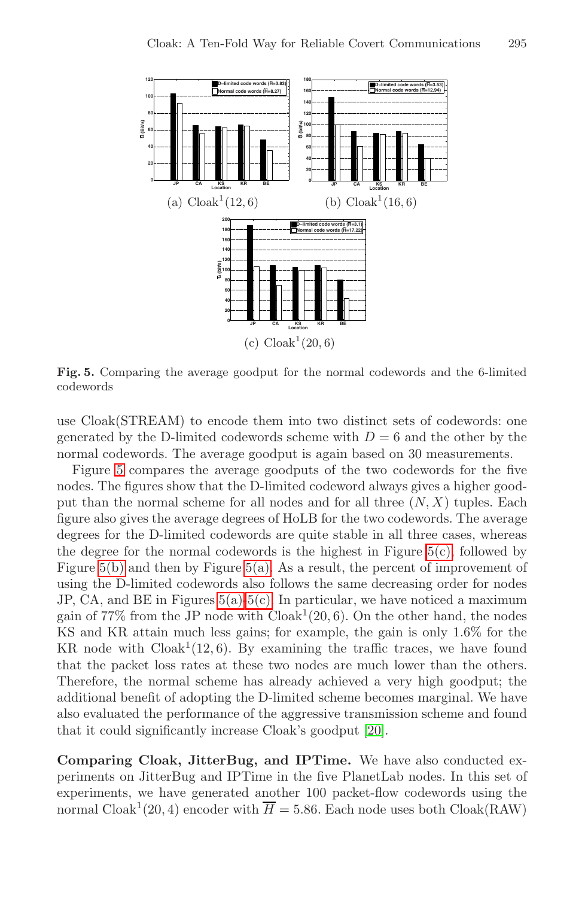<span id="page-12-1"></span><span id="page-12-0"></span>

**Fig. 5.** Comparing the average goodput for the normal codewords and the 6-limited codewords

use Cloak(STREAM) to encode them into [two](#page-12-0) distinct sets of codewords: one generated b[y the](#page-12-1) D-limited codewords scheme with  $D = 6$  and the other by the normal codewords. The average goodput is again based on 30 measurements.

Figur[e 5 c](#page-12-1)[omp](#page-12-0)ares the average goodputs of the two codewords for the five nodes. The figures show that the D-limited codeword always gives a higher goodput than the normal scheme for all nodes and for all three  $(N, X)$  tuples. Each figure also gives the average degrees of HoLB for the two codewords. The average degrees for the D-limited codewords are quite stable in all three cases, whereas the degree for the normal codewords is the highest in Figure  $5(c)$ , followed by Figure 5(b) and then by Figure 5(a). As a result, the percent of improvement of using the D-limited codewords also follows the same decreasing order for nodes JP, CA, and BE in Figures  $5(a)-5(c)$  $5(a)-5(c)$ . In particular, we have noticed a maximum gain of  $77\%$  from the JP node with  $\text{Clock}^1(20, 6)$ . On the other hand, the nodes KS and KR attain much less gains; for example, the gain is only 1.6% for the KR node with  $\text{Cloud}^1(12, 6)$ . By examining the traffic traces, we have found that the packet loss rates at these two nodes are much lower than the others. Therefore, the normal scheme has already achieved a very high goodput; the additional benefit of adopting the D-limited scheme becomes marginal. We have also evaluated the performance of the aggressive transmission scheme and found that it could significantly increase Cloak's goodput [20].

**Comparing Cloak, JitterBug, and IPTime.** We have also conducted experiments on JitterBug and IPTime in the five PlanetLab nodes. In this set of experiments, we have generated another 100 packet-flow codewords using the normal Cloak<sup>1</sup>(20, 4) encoder with  $\overline{H} = 5.86$ . Each node uses both Cloak(RAW)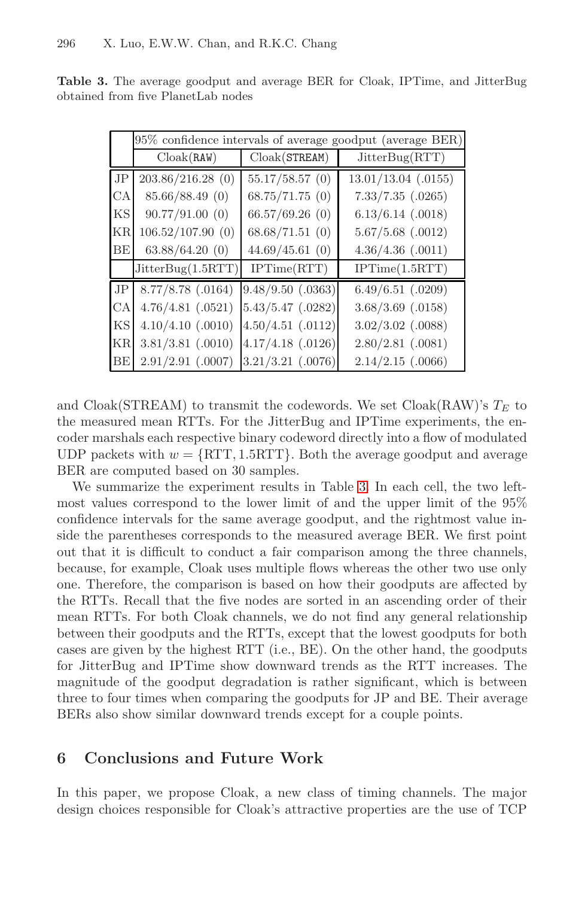|           | 95% confidence intervals of average goodput (average BER) |                                 |                       |  |  |  |  |  |
|-----------|-----------------------------------------------------------|---------------------------------|-----------------------|--|--|--|--|--|
|           | $\text{Clock}(\texttt{RAW})$                              | $\text{Clock}(\texttt{STREAM})$ | JitterBug(RTT)        |  |  |  |  |  |
| JP        | 203.86/216.28 (0)                                         | 55.17/58.57(0)                  | $13.01/13.04$ (.0155) |  |  |  |  |  |
| CA        | 85.66/88.49(0)                                            | 68.75/71.75(0)                  | $7.33/7.35$ $(.0265)$ |  |  |  |  |  |
| KS        | 90.77/91.00(0)                                            | 66.57/69.26(0)                  | $6.13/6.14$ (.0018)   |  |  |  |  |  |
| <b>KR</b> | 106.52/107.90(0)                                          | 68.68/71.51(0)                  | $5.67/5.68$ (.0012)   |  |  |  |  |  |
| BE        | 63.88/64.20(0)                                            | 44.69/45.61(0)                  | $4.36/4.36$ (.0011)   |  |  |  |  |  |
|           | JitterBug(1.5RTT)                                         | IPTime(RTT)                     | IPTime(1.5RTT)        |  |  |  |  |  |
| JP        | $8.77/8.78$ (.0164)                                       | $9.48/9.50$ (.0363)             | $6.49/6.51$ (.0209)   |  |  |  |  |  |
| СA        | $4.76/4.81$ (.0521)                                       | $5.43/5.47$ (.0282)             | $3.68/3.69$ (.0158)   |  |  |  |  |  |
| KS        | $4.10/4.10$ (.0010)                                       | $4.50/4.51$ (.0112)             | $3.02/3.02$ (.0088)   |  |  |  |  |  |
| <b>KR</b> | $3.81/3.81$ (.0010)                                       | $4.17/4.18$ (.0126)             | $2.80/2.81$ (.0081)   |  |  |  |  |  |
| BE        | $2.91/2.91$ (.0007)                                       | $3.21/3.21$ (.0076)             | $2.14/2.15$ (.0066)   |  |  |  |  |  |

<span id="page-13-0"></span>**Table 3.** The average goodput and average BER for Cloak, IPTime, and JitterBug obtained from five PlanetLab nodes

and Cloak(STREAM) to transmit the codewords. We set Cloak(RAW)'s  $T_E$  to the measured mean RTTs. For the JitterBug and IPTime experiments, the encoder marshals each respective binary codeword directly into a flow of modulated UDP packets with  $w = \{RTT, 1.5RTT\}$ . Both the average goodput and average BER are computed based on 30 samples.

We summarize the experiment results in Table 3. In each cell, the two leftmost values correspond to the lower limit of and the upper limit of the 95% confidence intervals for the same average goodput, and the rightmost value inside the parentheses corresponds to the measured average BER. We first point out that it is difficult to conduct a fair comparison among the three channels, because, for example, Cloak uses multiple flows whereas the other two use only one. Therefore, the comparison is based on how their goodputs are affected by the RTTs. Recall that the five nodes are sorted in an ascending order of their mean RTTs. For both Cloak channels, we do not find any general relationship between their goodputs and the RTTs, except that the lowest goodputs for both cases are given by the highest RTT (i.e., BE). On the other hand, the goodputs for JitterBug and IPTime show downward trends as the RTT increases. The magnitude of the goodput degradation is rather significant, which is between three to four times when comparing the goodputs for JP and BE. Their average BERs also show similar downward trends except for a couple points.

# **6 Conclusions and Future Work**

In this paper, we propose Cloak, a new class of timing channels. The major design choices responsible for Cloak's attractive properties are the use of TCP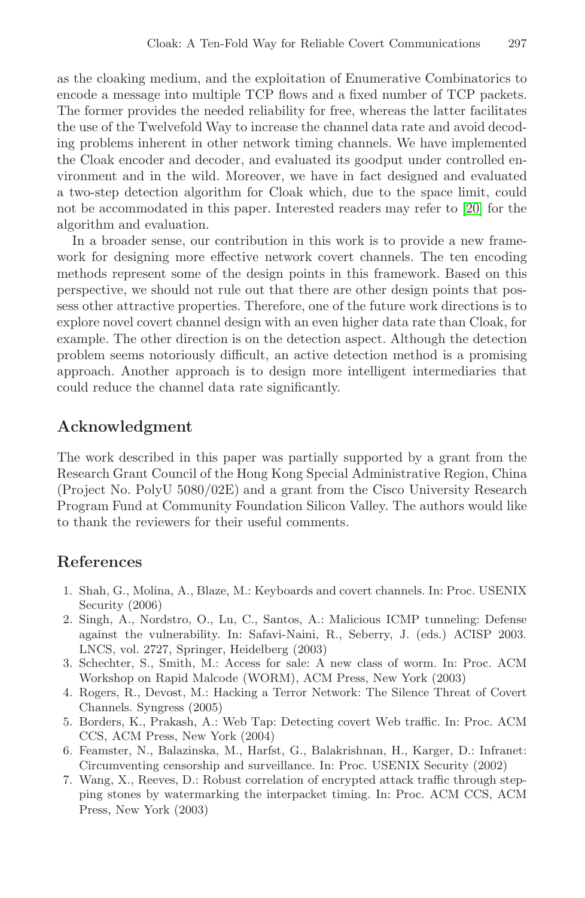as the cloaking medium, and the exploitation of [Enu](#page-15-9)merative Combinatorics to encode a message into multiple TCP flows and a fixed number of TCP packets. The former provides the needed reliability for free, whereas the latter facilitates the use of the Twelvefold Way to increase the channel data rate and avoid decoding problems inherent in other network timing channels. We have implemented the Cloak encoder and decoder, and evaluated its goodput under controlled environment and in the wild. Moreover, we have in fact designed and evaluated a two-step detection algorithm for Cloak which, due to the space limit, could not be accommodated in this paper. Interested readers may refer to [20] for the algorithm and evaluation.

In a broader sense, our contribution in this work is to provide a new framework for designing more effective network covert channels. The ten encoding methods represent some of the design points in this framework. Based on this perspective, we should not rule out that there are other design points that possess other attractive properties. Therefore, one of the future work directions is to explore novel covert channel design with an even higher data rate than Cloak, for example. The other direction is on the detection aspect. Although the detection problem seems notoriously difficult, an active detection method is a promising approach. Another approach is to design more intelligent intermediaries that could reduce the channel data rate significantly.

## **Acknowledgment**

<span id="page-14-1"></span>The work described in this paper was partially supported by a grant from the Research Grant Council of the Hong Kong Special Administrative Region, China (Project No. PolyU 5080/02E) and a grant from the Cisco University Research Program Fund at Community Foundation Silicon Valley. The authors would like to thank the reviewers for their useful comments.

# **References**

- 1. Shah, G., Molina, A., Blaze, M.: Keyboards and covert channels. In: Proc. USENIX Security (2006)
- 2. Singh, A., Nordstro, O., Lu, C., Santos, A.: Malicious ICMP tunneling: Defense against the vulnerability. In: Safavi-Naini, R., Seberry, J. (eds.) ACISP 2003. LNCS, vol. 2727, Springer, Heidelberg (2003)
- <span id="page-14-0"></span>3. Schechter, S., Smith, M.: Access for sale: A new class of worm. In: Proc. ACM Workshop on Rapid Malcode (WORM), ACM Press, New York (2003)
- 4. Rogers, R., Devost, M.: Hacking a Terror Network: The Silence Threat of Covert Channels. Syngress (2005)
- 5. Borders, K., Prakash, A.: Web Tap: Detecting covert Web traffic. In: Proc. ACM CCS, ACM Press, New York (2004)
- 6. Feamster, N., Balazinska, M., Harfst, G., Balakrishnan, H., Karger, D.: Infranet: Circumventing censorship and surveillance. In: Proc. USENIX Security (2002)
- 7. Wang, X., Reeves, D.: Robust correlation of encrypted attack traffic through stepping stones by watermarking the interpacket timing. In: Proc. ACM CCS, ACM Press, New York (2003)